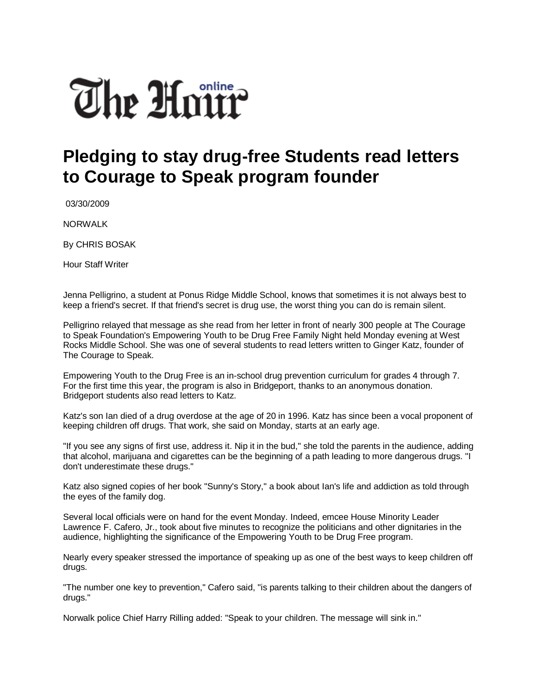## The Hour

## **Pledging to stay drug-free Students read letters to Courage to Speak program founder**

03/30/2009

NORWALK

By CHRIS BOSAK

Hour Staff Writer

Jenna Pelligrino, a student at Ponus Ridge Middle School, knows that sometimes it is not always best to keep a friend's secret. If that friend's secret is drug use, the worst thing you can do is remain silent.

Pelligrino relayed that message as she read from her letter in front of nearly 300 people at The Courage to Speak Foundation's Empowering Youth to be Drug Free Family Night held Monday evening at West Rocks Middle School. She was one of several students to read letters written to Ginger Katz, founder of The Courage to Speak.

Empowering Youth to the Drug Free is an in-school drug prevention curriculum for grades 4 through 7. For the first time this year, the program is also in Bridgeport, thanks to an anonymous donation. Bridgeport students also read letters to Katz.

Katz's son Ian died of a drug overdose at the age of 20 in 1996. Katz has since been a vocal proponent of keeping children off drugs. That work, she said on Monday, starts at an early age.

"If you see any signs of first use, address it. Nip it in the bud," she told the parents in the audience, adding that alcohol, marijuana and cigarettes can be the beginning of a path leading to more dangerous drugs. "I don't underestimate these drugs."

Katz also signed copies of her book "Sunny's Story," a book about Ian's life and addiction as told through the eyes of the family dog.

Several local officials were on hand for the event Monday. Indeed, emcee House Minority Leader Lawrence F. Cafero, Jr., took about five minutes to recognize the politicians and other dignitaries in the audience, highlighting the significance of the Empowering Youth to be Drug Free program.

Nearly every speaker stressed the importance of speaking up as one of the best ways to keep children off drugs.

"The number one key to prevention," Cafero said, "is parents talking to their children about the dangers of drugs."

Norwalk police Chief Harry Rilling added: "Speak to your children. The message will sink in."